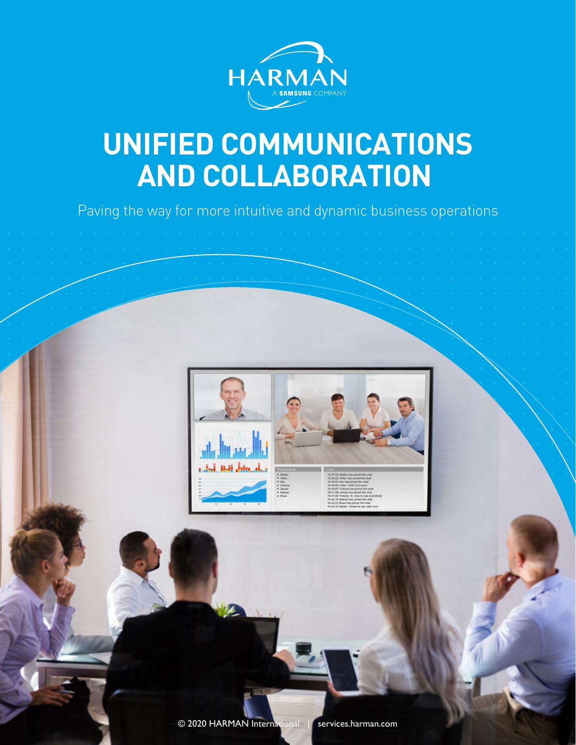

# **UNIFIED COMMUNICATIONS AND COLLABORATION**

Paving the way for more intuitive and dynamic business operations

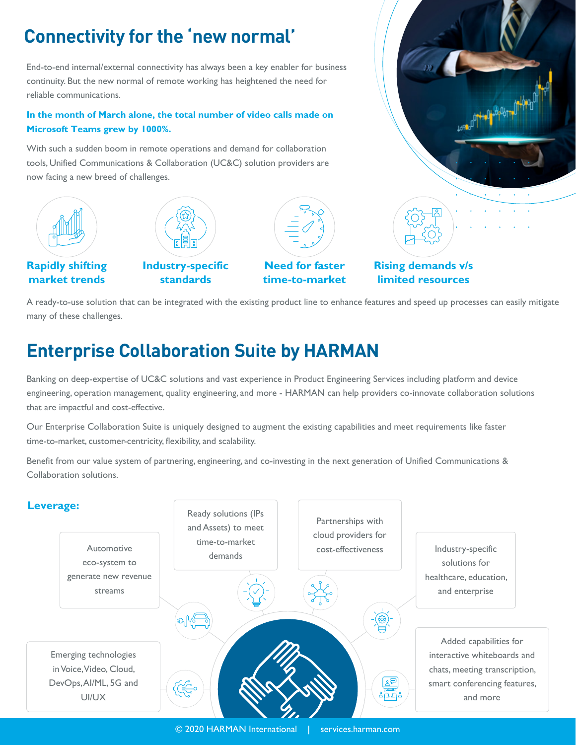## **Connectivity for the 'new normal'**

End-to-end internal/external connectivity has always been a key enabler for business continuity. But the new normal of remote working has heightened the need for reliable communications.

### In the month of March alone, the total number of video calls made on Microsoft Teams grew by 1000%.

With such a sudden boom in remote operations and demand for collaboration tools, Unified Communications & Collaboration (UC&C) solution providers are now facing a new breed of challenges.





Rapidly shifting market trends

Industry-specific standards



Need for faster time-to-market



### Rising demands v/s limited resources

A ready-to-use solution that can be integrated with the existing product line to enhance features and speed up processes can easily mitigate many of these challenges.

## **Enterprise Collaboration Suite by HARMAN**

Banking on deep-expertise of UC&C solutions and vast experience in Product Engineering Services including platform and device engineering, operation management, quality engineering, and more - HARMAN can help providers co-innovate collaboration solutions that are impactful and cost-effective.

Our Enterprise Collaboration Suite is uniquely designed to augment the existing capabilities and meet requirements like faster time-to-market, customer-centricity, flexibility, and scalability.

Benefit from our value system of partnering, engineering, and co-investing in the next generation of Unified Communications & Collaboration solutions.

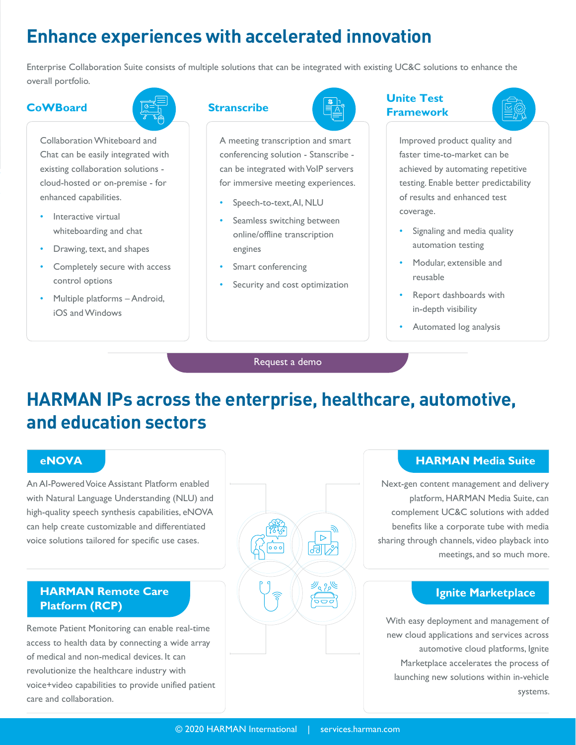### **Enhance experiences with accelerated innovation**

Enterprise Collaboration Suite consists of multiple solutions that can be integrated with existing UC&C solutions to enhance the overall portfolio.

### CoWBoard **Cowboard** Stranscribe

Collaboration Whiteboard and Chat can be easily integrated with existing collaboration solutions cloud-hosted or on-premise - for enhanced capabilities.

- Interactive virtual whiteboarding and chat
- Drawing, text, and shapes
- Completely secure with access control options
- Multiple platforms Android, iOS and Windows

A meeting transcription and smart conferencing solution - Stanscribe can be integrated with VoIP servers for immersive meeting experiences.

- Speech-to-text, AI, NLU
- Seamless switching between online/offline transcription engines
- Smart conferencing
- Security and cost optimization

### Unite Test Framework



Improved product quality and faster time-to-market can be achieved by automating repetitive testing. Enable better predictability of results and enhanced test coverage.

- Signaling and media quality automation testing
- Modular, extensible and reusable
- Report dashboards with in-depth visibility
- Automated log analysis

### [Request a demo](mailto:askcs@harman.com)

## **HARMAN IPs across the enterprise, healthcare, automotive, and education sectors**

An AI-Powered Voice Assistant Platform enabled with Natural Language Understanding (NLU) and high-quality speech synthesis capabilities, eNOVA can help create customizable and differentiated voice solutions tailored for specific use cases.

### HARMAN Remote Care Platform (RCP)

Remote Patient Monitoring can enable real-time access to health data by connecting a wide array of medical and non-medical devices. It can revolutionize the healthcare industry with voice+video capabilities to provide unified patient care and collaboration.



Next-gen content management and delivery platform, HARMAN Media Suite, can complement UC&C solutions with added benefits like a corporate tube with media sharing through channels, video playback into meetings, and so much more.

### Ignite Marketplace

With easy deployment and management of new cloud applications and services across automotive cloud platforms, Ignite Marketplace accelerates the process of launching new solutions within in-vehicle systems.